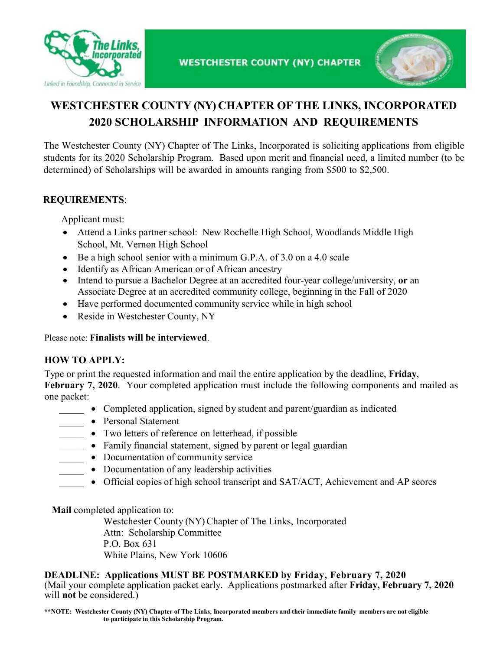



# **WESTCHESTER COUNTY (NY) CHAPTER OF THE LINKS, INCORPORATED 2020 SCHOLARSHIP INFORMATION AND REQUIREMENTS**

The Westchester County (NY) Chapter of The Links, Incorporated is soliciting applications from eligible students for its 2020 Scholarship Program. Based upon merit and financial need, a limited number (to be determined) of Scholarships will be awarded in amounts ranging from \$500 to \$2,500.

### **REQUIREMENTS**:

Applicant must:

- Attend a Links partner school: New Rochelle High School, Woodlands Middle High School, Mt. Vernon High School
- Be a high school senior with a minimum G.P.A. of 3.0 on a 4.0 scale
- Identify as African American or of African ancestry
- Intend to pursue a Bachelor Degree at an accredited four-year college/university, **or** an Associate Degree at an accredited community college, beginning in the Fall of 2020
- Have performed documented community service while in high school
- Reside in Westchester County, NY

Please note: **Finalists will be interviewed**.

#### **HOW TO APPLY:**

Type or print the requested information and mail the entire application by the deadline, **Friday**, **February 7, 2020.** Your completed application must include the following components and mailed as one packet:

- Completed application, signed by student and parent/guardian as indicated
- Personal Statement
- Two letters of reference on letterhead, if possible
- Family financial statement, signed by parent or legal guardian
- Documentation of community service
- Documentation of any leadership activities
- Official copies of high school transcript and SAT/ACT, Achievement and AP scores

**Mail** completed application to:

Westchester County (NY) Chapter of The Links, Incorporated Attn: Scholarship Committee P.O. Box 631 White Plains, New York 10606

#### **DEADLINE:** Applications MUST BE POSTMARKED by Friday, February 7, 2020

(Mail your complete application packet early. Applications postmarked after **Friday, February 7, 2020** will **not** be considered.)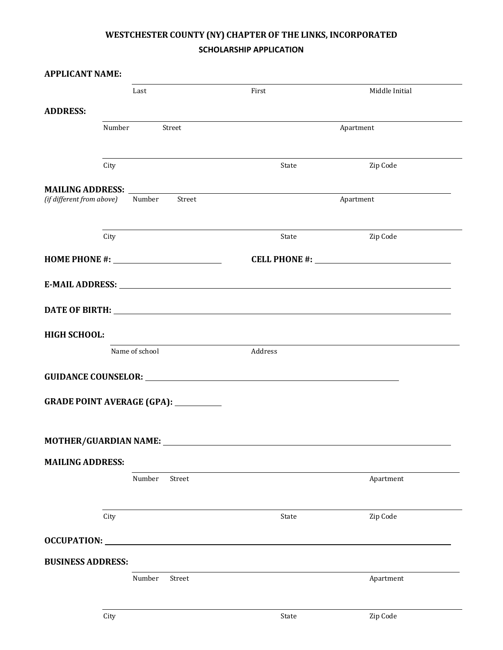## **WESTCHESTER COUNTY (NY) CHAPTER OF THE LINKS, INCORPORATED SCHOLARSHIP APPLICATION**

| <b>APPLICANT NAME:</b>                                                                                                                                                                                                                                                       |                  |        |                                                                                                                                                                                                                                      |                |  |
|------------------------------------------------------------------------------------------------------------------------------------------------------------------------------------------------------------------------------------------------------------------------------|------------------|--------|--------------------------------------------------------------------------------------------------------------------------------------------------------------------------------------------------------------------------------------|----------------|--|
|                                                                                                                                                                                                                                                                              | Last             |        | First                                                                                                                                                                                                                                | Middle Initial |  |
| <b>ADDRESS:</b>                                                                                                                                                                                                                                                              |                  |        |                                                                                                                                                                                                                                      |                |  |
|                                                                                                                                                                                                                                                                              | Number<br>Street |        | Apartment                                                                                                                                                                                                                            |                |  |
|                                                                                                                                                                                                                                                                              | City             |        | State                                                                                                                                                                                                                                | Zip Code       |  |
|                                                                                                                                                                                                                                                                              |                  |        |                                                                                                                                                                                                                                      |                |  |
| MAILING ADDRESS: Laterature and the contract of the contract of the contract of the contract of the contract of the contract of the contract of the contract of the contract of the contract of the contract of the contract o<br>(if different from above) Number<br>Street |                  |        | Apartment                                                                                                                                                                                                                            |                |  |
|                                                                                                                                                                                                                                                                              | City             |        | State                                                                                                                                                                                                                                | Zip Code       |  |
|                                                                                                                                                                                                                                                                              |                  |        |                                                                                                                                                                                                                                      |                |  |
|                                                                                                                                                                                                                                                                              |                  |        |                                                                                                                                                                                                                                      |                |  |
|                                                                                                                                                                                                                                                                              |                  |        |                                                                                                                                                                                                                                      |                |  |
| <b>HIGH SCHOOL:</b>                                                                                                                                                                                                                                                          |                  |        |                                                                                                                                                                                                                                      |                |  |
|                                                                                                                                                                                                                                                                              | Name of school   |        | Address                                                                                                                                                                                                                              |                |  |
|                                                                                                                                                                                                                                                                              |                  |        | GUIDANCE COUNSELOR: <b>Annual State of the Counseline Counseling Counseling Counseling Counseling Counseling Counseling Counseling Counseling Counseling Counseling Counseling Counseling Counseling Counseling Counseling Couns</b> |                |  |
| <b>GRADE POINT AVERAGE (GPA):</b>                                                                                                                                                                                                                                            |                  |        |                                                                                                                                                                                                                                      |                |  |
| <b>MOTHER/GUARDIAN NAME:</b>                                                                                                                                                                                                                                                 |                  |        |                                                                                                                                                                                                                                      |                |  |
| <b>MAILING ADDRESS:</b>                                                                                                                                                                                                                                                      |                  |        |                                                                                                                                                                                                                                      |                |  |
|                                                                                                                                                                                                                                                                              | Number           | Street |                                                                                                                                                                                                                                      | Apartment      |  |
|                                                                                                                                                                                                                                                                              | City             |        | State                                                                                                                                                                                                                                | Zip Code       |  |
| OCCUPATION:                                                                                                                                                                                                                                                                  |                  |        |                                                                                                                                                                                                                                      |                |  |
| <b>BUSINESS ADDRESS:</b>                                                                                                                                                                                                                                                     |                  |        |                                                                                                                                                                                                                                      |                |  |
|                                                                                                                                                                                                                                                                              | Number           | Street |                                                                                                                                                                                                                                      | Apartment      |  |
|                                                                                                                                                                                                                                                                              | City             |        | State                                                                                                                                                                                                                                | Zip Code       |  |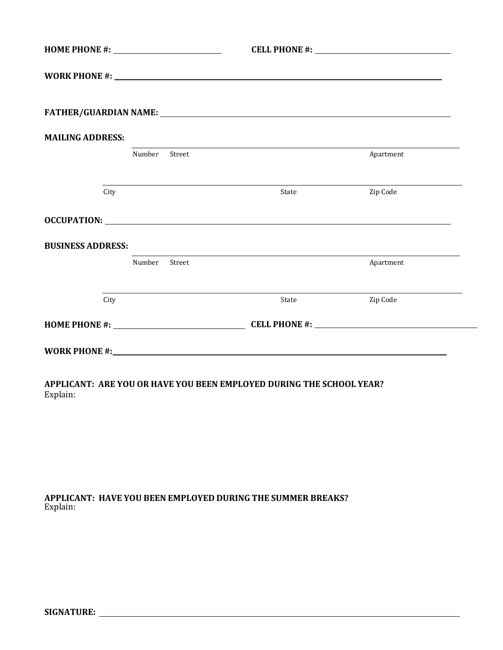|       | Apartment                                                                                                                                                                                                                      |
|-------|--------------------------------------------------------------------------------------------------------------------------------------------------------------------------------------------------------------------------------|
| State | Zip Code                                                                                                                                                                                                                       |
|       |                                                                                                                                                                                                                                |
|       |                                                                                                                                                                                                                                |
|       | Apartment                                                                                                                                                                                                                      |
| State | Zip Code                                                                                                                                                                                                                       |
|       |                                                                                                                                                                                                                                |
|       |                                                                                                                                                                                                                                |
|       |                                                                                                                                                                                                                                |
|       | OCCUPATION: Lawrence and the contract of the contract of the contract of the contract of the contract of the contract of the contract of the contract of the contract of the contract of the contract of the contract of the c |

**APPLICANT: ARE YOU OR HAVE YOU BEEN EMPLOYED DURING THE SCHOOL YEAR?**  Explain:

**APPLICANT: HAVE YOU BEEN EMPLOYED DURING THE SUMMER BREAKS?** Explain: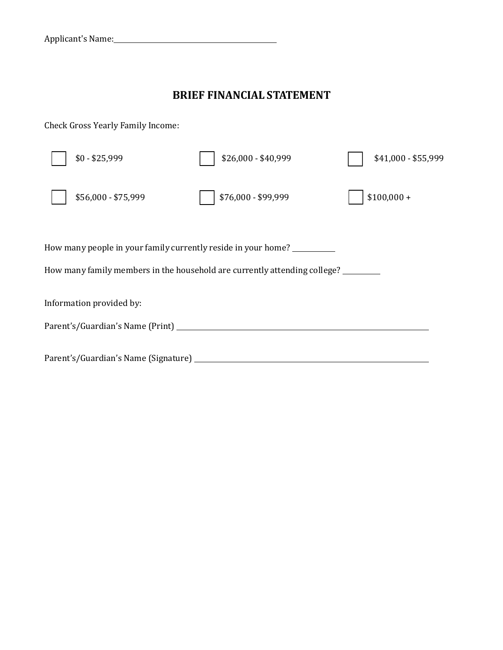## **BRIEF FINANCIAL STATEMENT**

Check Gross Yearly Family Income:

|                                                                                                                                            | $$0 - $25,999$                             | \$26,000 - \$40,999 | \$41,000 - \$55,999 |  |  |  |  |
|--------------------------------------------------------------------------------------------------------------------------------------------|--------------------------------------------|---------------------|---------------------|--|--|--|--|
|                                                                                                                                            | \$56,000 - \$75,999                        | \$76,000 - \$99,999 | $$100,000 +$        |  |  |  |  |
| How many people in your family currently reside in your home?<br>How many family members in the household are currently attending college? |                                            |                     |                     |  |  |  |  |
|                                                                                                                                            | Information provided by:                   |                     |                     |  |  |  |  |
|                                                                                                                                            | Parent's/Guardian's Name (Print) _________ |                     |                     |  |  |  |  |
|                                                                                                                                            |                                            |                     |                     |  |  |  |  |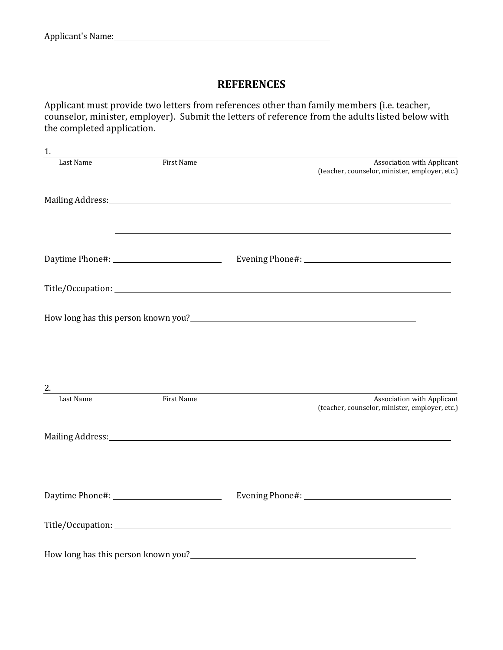## **REFERENCES**

Applicant must provide two letters from references other than family members (i.e. teacher, counselor, minister, employer). Submit the letters of reference from the adults listed below with the completed application.

| 1.        |            |                            |                                                                                                                                                                                                                                        |
|-----------|------------|----------------------------|----------------------------------------------------------------------------------------------------------------------------------------------------------------------------------------------------------------------------------------|
| Last Name | First Name |                            | Association with Applicant<br>(teacher, counselor, minister, employer, etc.)                                                                                                                                                           |
|           |            |                            | Mailing Address: 1988 and 2008 and 2008 and 2008 and 2008 and 2008 and 2008 and 2008 and 2008 and 2008 and 200                                                                                                                         |
|           |            |                            |                                                                                                                                                                                                                                        |
|           |            |                            |                                                                                                                                                                                                                                        |
|           |            |                            |                                                                                                                                                                                                                                        |
|           |            |                            |                                                                                                                                                                                                                                        |
|           |            |                            |                                                                                                                                                                                                                                        |
|           |            | 2.<br>Last Name First Name | Association with Applicant<br>(teacher, counselor, minister, employer, etc.)                                                                                                                                                           |
|           |            |                            | Mailing Address: National Address: National Address: National Address: National Address: National Address: National Address: National Address: National Address: National Address: National Address: National Address: Nationa         |
|           |            |                            | ,我们也不会有一个人的人,我们也不会有一个人的人,我们也不会有一个人的人。""我们,我们也不会有一个人的人,我们也不会有一个人的人。""我们,我们也不会有一个人                                                                                                                                                       |
|           |            |                            |                                                                                                                                                                                                                                        |
|           |            |                            |                                                                                                                                                                                                                                        |
|           |            |                            | How long has this person known you?<br><u>Letter and the contract of the contract of the contract of the contract of the contract of the contract of the contract of the contract of the contract of the contract of the contract </u> |